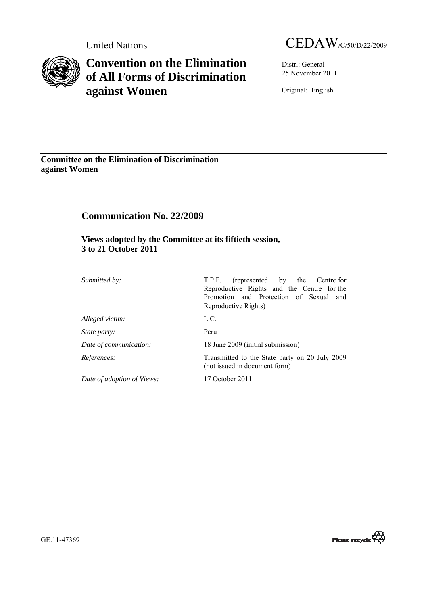

# **Convention on the Elimination of All Forms of Discrimination against Women**

United Nations CEDAW/C/50/D/22/2009

Distr.: General 25 November 2011

Original: English

**Committee on the Elimination of Discrimination against Women** 

# **Communication No. 22/2009**

 **Views adopted by the Committee at its fiftieth session, 3 to 21 October 2011** 

| Submitted by:              | (represented by the Centre for<br>T.P.F.<br>Reproductive Rights and the Centre for the<br>Promotion and Protection of Sexual<br>and<br>Reproductive Rights) |
|----------------------------|-------------------------------------------------------------------------------------------------------------------------------------------------------------|
| Alleged victim:            | L.C.                                                                                                                                                        |
| <i>State party:</i>        | Peru                                                                                                                                                        |
| Date of communication:     | 18 June 2009 (initial submission)                                                                                                                           |
| References:                | Transmitted to the State party on 20 July 2009<br>(not issued in document form)                                                                             |
| Date of adoption of Views: | 17 October 2011                                                                                                                                             |

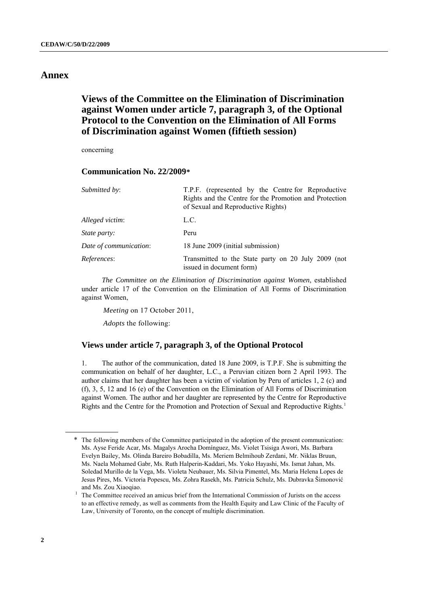# <span id="page-1-0"></span>**Annex**

# **Views of the Committee on the Elimination of Discrimination against Women under article 7, paragraph 3, of the Optional Protocol to the Convention on the Elimination of All Forms of Discrimination against Women (fiftieth session)**

concerning

# **Communication No. 22/2009[\\*](#page-1-0)**

| Submitted by:          | T.P.F. (represented by the Centre for Reproductive<br>Rights and the Centre for the Promotion and Protection<br>of Sexual and Reproductive Rights) |
|------------------------|----------------------------------------------------------------------------------------------------------------------------------------------------|
| Alleged victim:        | L.C.                                                                                                                                               |
| <i>State party:</i>    | Peru                                                                                                                                               |
| Date of communication: | 18 June 2009 (initial submission)                                                                                                                  |
| References:            | Transmitted to the State party on 20 July 2009 (not<br>issued in document form)                                                                    |

*The Committee on the Elimination of Discrimination against Women*, established under article 17 of the Convention on the Elimination of All Forms of Discrimination against Women,

*Meeting* on 17 October 2011,

*Adopts* the following:

# **Views under article 7, paragraph 3, of the Optional Protocol**

1. The author of the communication, dated 18 June 2009, is T.P.F. She is submitting the communication on behalf of her daughter, L.C., a Peruvian citizen born 2 April 1993. The author claims that her daughter has been a victim of violation by Peru of articles 1, 2 (c) and (f), 3, 5, 12 and 16 (e) of the Convention on the Elimination of All Forms of Discrimination against Women. The author and her daughter are represented by the Centre for Reproductive Rights and the Centre for the Promotion and Protection of Sexual and Reproductive Rights.[1](#page-1-0)

The following members of the Committee participated in the adoption of the present communication: Ms. Ayse Feride Acar, Ms. Magalys Arocha Domínguez, Ms. Violet Tsisiga Awori, Ms. Barbara Evelyn Bailey, Ms. Olinda Bareiro Bobadilla, Ms. Meriem Belmihoub Zerdani, Mr. Niklas Bruun, Ms. Naela Mohamed Gabr, Ms. Ruth Halperin-Kaddari, Ms. Yoko Hayashi, Ms. Ismat Jahan, Ms. Soledad Murillo de la Vega, Ms. Violeta Neubauer, Ms. Silvia Pimentel, Ms. Maria Helena Lopes de Jesus Pires, Ms. Victoria Popescu, Ms. Zohra Rasekh, Ms. Patricia Schulz, Ms. Dubravka Šimonović and Ms. Zou Xiaoqiao.

The Committee received an amicus brief from the International Commission of Jurists on the access to an effective remedy, as well as comments from the Health Equity and Law Clinic of the Faculty of Law, University of Toronto, on the concept of multiple discrimination.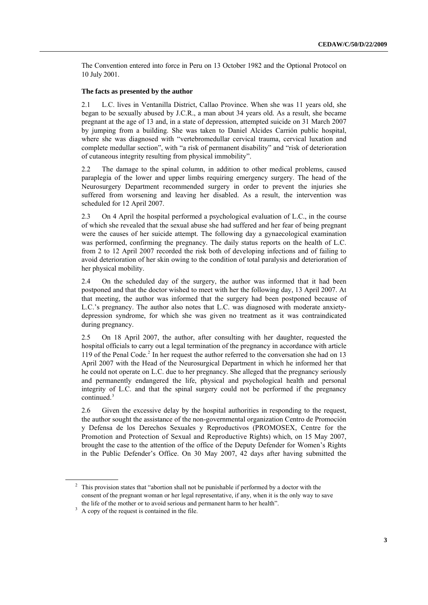<span id="page-2-0"></span>The Convention entered into force in Peru on 13 October 1982 and the Optional Protocol on 10 July 2001.

### **The facts as presented by the author**

2.1 L.C. lives in Ventanilla District, Callao Province. When she was 11 years old, she began to be sexually abused by J.C.R., a man about 34 years old. As a result, she became pregnant at the age of 13 and, in a state of depression, attempted suicide on 31 March 2007 by jumping from a building. She was taken to Daniel Alcides Carrión public hospital, where she was diagnosed with "vertebromedullar cervical trauma, cervical luxation and complete medullar section", with "a risk of permanent disability" and "risk of deterioration of cutaneous integrity resulting from physical immobility".

2.2 The damage to the spinal column, in addition to other medical problems, caused paraplegia of the lower and upper limbs requiring emergency surgery. The head of the Neurosurgery Department recommended surgery in order to prevent the injuries she suffered from worsening and leaving her disabled. As a result, the intervention was scheduled for 12 April 2007.

2.3 On 4 April the hospital performed a psychological evaluation of L.C., in the course of which she revealed that the sexual abuse she had suffered and her fear of being pregnant were the causes of her suicide attempt. The following day a gynaecological examination was performed, confirming the pregnancy. The daily status reports on the health of L.C. from 2 to 12 April 2007 recorded the risk both of developing infections and of failing to avoid deterioration of her skin owing to the condition of total paralysis and deterioration of her physical mobility.

2.4 On the scheduled day of the surgery, the author was informed that it had been postponed and that the doctor wished to meet with her the following day, 13 April 2007. At that meeting, the author was informed that the surgery had been postponed because of L.C.'s pregnancy. The author also notes that L.C. was diagnosed with moderate anxietydepression syndrome, for which she was given no treatment as it was contraindicated during pregnancy.

2.5 On 18 April 2007, the author, after consulting with her daughter, requested the hospital officials to carry out a legal termination of the pregnancy in accordance with article 119 of the Penal Code.<sup>[2](#page-2-0)</sup> In her request the author referred to the conversation she had on 13 April 2007 with the Head of the Neurosurgical Department in which he informed her that he could not operate on L.C. due to her pregnancy. She alleged that the pregnancy seriously and permanently endangered the life, physical and psychological health and personal integrity of L.C. and that the spinal surgery could not be performed if the pregnancy continued.<sup>[3](#page-2-0)</sup>

2.6 Given the excessive delay by the hospital authorities in responding to the request, the author sought the assistance of the non-governmental organization Centro de Promoción y Defensa de los Derechos Sexuales y Reproductivos (PROMOSEX, Centre for the Promotion and Protection of Sexual and Reproductive Rights) which, on 15 May 2007, brought the case to the attention of the office of the Deputy Defender for Women's Rights in the Public Defender's Office. On 30 May 2007, 42 days after having submitted the

<sup>&</sup>lt;sup>2</sup> This provision states that "abortion shall not be punishable if performed by a doctor with the consent of the pregnant woman or her legal representative, if any, when it is the only way to save the life of the mother or to avoid serious and permanent harm to her health".

 $A$  copy of the request is contained in the file.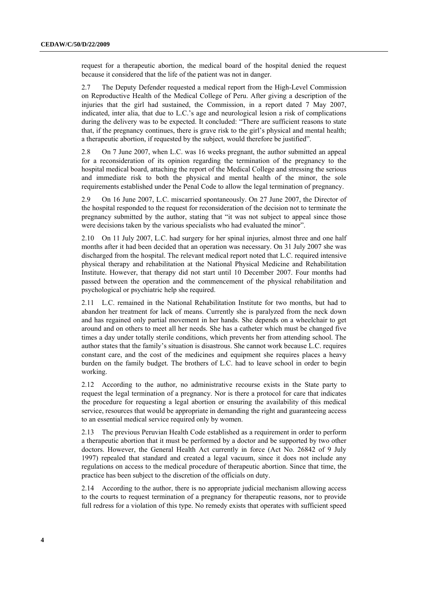request for a therapeutic abortion, the medical board of the hospital denied the request because it considered that the life of the patient was not in danger.

2.7 The Deputy Defender requested a medical report from the High-Level Commission on Reproductive Health of the Medical College of Peru. After giving a description of the injuries that the girl had sustained, the Commission, in a report dated 7 May 2007, indicated, inter alia, that due to L.C.'s age and neurological lesion a risk of complications during the delivery was to be expected. It concluded: "There are sufficient reasons to state that, if the pregnancy continues, there is grave risk to the girl's physical and mental health; a therapeutic abortion, if requested by the subject, would therefore be justified".

2.8 On 7 June 2007, when L.C. was 16 weeks pregnant, the author submitted an appeal for a reconsideration of its opinion regarding the termination of the pregnancy to the hospital medical board, attaching the report of the Medical College and stressing the serious and immediate risk to both the physical and mental health of the minor, the sole requirements established under the Penal Code to allow the legal termination of pregnancy.

2.9 On 16 June 2007, L.C. miscarried spontaneously. On 27 June 2007, the Director of the hospital responded to the request for reconsideration of the decision not to terminate the pregnancy submitted by the author, stating that "it was not subject to appeal since those were decisions taken by the various specialists who had evaluated the minor".

2.10 On 11 July 2007, L.C. had surgery for her spinal injuries, almost three and one half months after it had been decided that an operation was necessary. On 31 July 2007 she was discharged from the hospital. The relevant medical report noted that L.C. required intensive physical therapy and rehabilitation at the National Physical Medicine and Rehabilitation Institute. However, that therapy did not start until 10 December 2007. Four months had passed between the operation and the commencement of the physical rehabilitation and psychological or psychiatric help she required.

2.11 L.C. remained in the National Rehabilitation Institute for two months, but had to abandon her treatment for lack of means. Currently she is paralyzed from the neck down and has regained only partial movement in her hands. She depends on a wheelchair to get around and on others to meet all her needs. She has a catheter which must be changed five times a day under totally sterile conditions, which prevents her from attending school. The author states that the family's situation is disastrous. She cannot work because L.C. requires constant care, and the cost of the medicines and equipment she requires places a heavy burden on the family budget. The brothers of L.C. had to leave school in order to begin working.

2.12 According to the author, no administrative recourse exists in the State party to request the legal termination of a pregnancy. Nor is there a protocol for care that indicates the procedure for requesting a legal abortion or ensuring the availability of this medical service, resources that would be appropriate in demanding the right and guaranteeing access to an essential medical service required only by women.

2.13 The previous Peruvian Health Code established as a requirement in order to perform a therapeutic abortion that it must be performed by a doctor and be supported by two other doctors. However, the General Health Act currently in force (Act No. 26842 of 9 July 1997) repealed that standard and created a legal vacuum, since it does not include any regulations on access to the medical procedure of therapeutic abortion. Since that time, the practice has been subject to the discretion of the officials on duty.

2.14 According to the author, there is no appropriate judicial mechanism allowing access to the courts to request termination of a pregnancy for therapeutic reasons, nor to provide full redress for a violation of this type. No remedy exists that operates with sufficient speed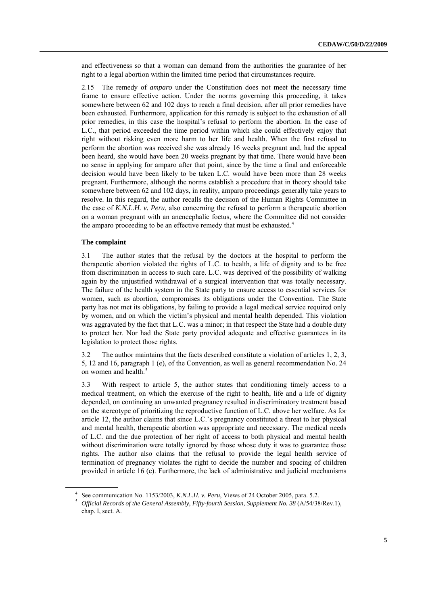<span id="page-4-0"></span>and effectiveness so that a woman can demand from the authorities the guarantee of her right to a legal abortion within the limited time period that circumstances require.

2.15 The remedy of *amparo* under the Constitution does not meet the necessary time frame to ensure effective action. Under the norms governing this proceeding, it takes somewhere between 62 and 102 days to reach a final decision, after all prior remedies have been exhausted. Furthermore, application for this remedy is subject to the exhaustion of all prior remedies, in this case the hospital's refusal to perform the abortion. In the case of L.C., that period exceeded the time period within which she could effectively enjoy that right without risking even more harm to her life and health. When the first refusal to perform the abortion was received she was already 16 weeks pregnant and, had the appeal been heard, she would have been 20 weeks pregnant by that time. There would have been no sense in applying for amparo after that point, since by the time a final and enforceable decision would have been likely to be taken L.C. would have been more than 28 weeks pregnant. Furthermore, although the norms establish a procedure that in theory should take somewhere between 62 and 102 days, in reality, amparo proceedings generally take years to resolve. In this regard, the author recalls the decision of the Human Rights Committee in the case of *K.N.L.H. v. Peru*, also concerning the refusal to perform a therapeutic abortion on a woman pregnant with an anencephalic foetus, where the Committee did not consider the amparo proceeding to be an effective remedy that must be exhausted.<sup>[4](#page-4-0)</sup>

# **The complaint**

3.1 The author states that the refusal by the doctors at the hospital to perform the therapeutic abortion violated the rights of L.C. to health, a life of dignity and to be free from discrimination in access to such care. L.C. was deprived of the possibility of walking again by the unjustified withdrawal of a surgical intervention that was totally necessary. The failure of the health system in the State party to ensure access to essential services for women, such as abortion, compromises its obligations under the Convention. The State party has not met its obligations, by failing to provide a legal medical service required only by women, and on which the victim's physical and mental health depended. This violation was aggravated by the fact that L.C. was a minor; in that respect the State had a double duty to protect her. Nor had the State party provided adequate and effective guarantees in its legislation to protect those rights.

3.2 The author maintains that the facts described constitute a violation of articles 1, 2, 3, 5, 12 and 16, paragraph 1 (e), of the Convention, as well as general recommendation No. 24 on women and health.<sup>[5](#page-4-0)</sup>

3.3 With respect to article 5, the author states that conditioning timely access to a medical treatment, on which the exercise of the right to health, life and a life of dignity depended, on continuing an unwanted pregnancy resulted in discriminatory treatment based on the stereotype of prioritizing the reproductive function of L.C. above her welfare. As for article 12, the author claims that since L.C.'s pregnancy constituted a threat to her physical and mental health, therapeutic abortion was appropriate and necessary. The medical needs of L.C. and the due protection of her right of access to both physical and mental health without discrimination were totally ignored by those whose duty it was to guarantee those rights. The author also claims that the refusal to provide the legal health service of termination of pregnancy violates the right to decide the number and spacing of children provided in article 16 (e). Furthermore, the lack of administrative and judicial mechanisms

<sup>&</sup>lt;sup>4</sup> See communication No. 1153/2003, *K.N.L.H. v. Peru*, Views of 24 October 2005, para. 5.2.

<sup>&</sup>lt;sup>5</sup> Official Records of the General Assembly, Fifty-fourth Session, Supplement No. 38 (A/54/38/Rev.1), chap. I, sect. A.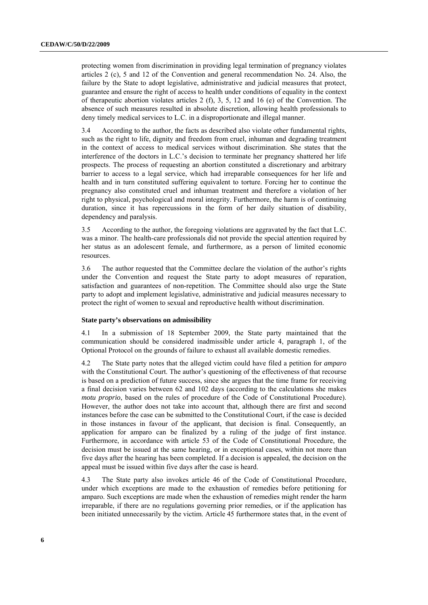protecting women from discrimination in providing legal termination of pregnancy violates articles 2 (c), 5 and 12 of the Convention and general recommendation No. 24. Also, the failure by the State to adopt legislative, administrative and judicial measures that protect, guarantee and ensure the right of access to health under conditions of equality in the context of therapeutic abortion violates articles 2 (f), 3, 5, 12 and 16 (e) of the Convention. The absence of such measures resulted in absolute discretion, allowing health professionals to deny timely medical services to L.C. in a disproportionate and illegal manner.

3.4 According to the author, the facts as described also violate other fundamental rights, such as the right to life, dignity and freedom from cruel, inhuman and degrading treatment in the context of access to medical services without discrimination. She states that the interference of the doctors in L.C.'s decision to terminate her pregnancy shattered her life prospects. The process of requesting an abortion constituted a discretionary and arbitrary barrier to access to a legal service, which had irreparable consequences for her life and health and in turn constituted suffering equivalent to torture. Forcing her to continue the pregnancy also constituted cruel and inhuman treatment and therefore a violation of her right to physical, psychological and moral integrity. Furthermore, the harm is of continuing duration, since it has repercussions in the form of her daily situation of disability, dependency and paralysis.

3.5 According to the author, the foregoing violations are aggravated by the fact that L.C. was a minor. The health-care professionals did not provide the special attention required by her status as an adolescent female, and furthermore, as a person of limited economic resources.

3.6 The author requested that the Committee declare the violation of the author's rights under the Convention and request the State party to adopt measures of reparation, satisfaction and guarantees of non-repetition. The Committee should also urge the State party to adopt and implement legislative, administrative and judicial measures necessary to protect the right of women to sexual and reproductive health without discrimination.

#### **State party's observations on admissibility**

4.1 In a submission of 18 September 2009, the State party maintained that the communication should be considered inadmissible under article 4, paragraph 1, of the Optional Protocol on the grounds of failure to exhaust all available domestic remedies.

4.2 The State party notes that the alleged victim could have filed a petition for *amparo* with the Constitutional Court. The author's questioning of the effectiveness of that recourse is based on a prediction of future success, since she argues that the time frame for receiving a final decision varies between 62 and 102 days (according to the calculations she makes *motu proprio*, based on the rules of procedure of the Code of Constitutional Procedure). However, the author does not take into account that, although there are first and second instances before the case can be submitted to the Constitutional Court, if the case is decided in those instances in favour of the applicant, that decision is final. Consequently, an application for amparo can be finalized by a ruling of the judge of first instance. Furthermore, in accordance with article 53 of the Code of Constitutional Procedure, the decision must be issued at the same hearing, or in exceptional cases, within not more than five days after the hearing has been completed. If a decision is appealed, the decision on the appeal must be issued within five days after the case is heard.

4.3 The State party also invokes article 46 of the Code of Constitutional Procedure, under which exceptions are made to the exhaustion of remedies before petitioning for amparo. Such exceptions are made when the exhaustion of remedies might render the harm irreparable, if there are no regulations governing prior remedies, or if the application has been initiated unnecessarily by the victim. Article 45 furthermore states that, in the event of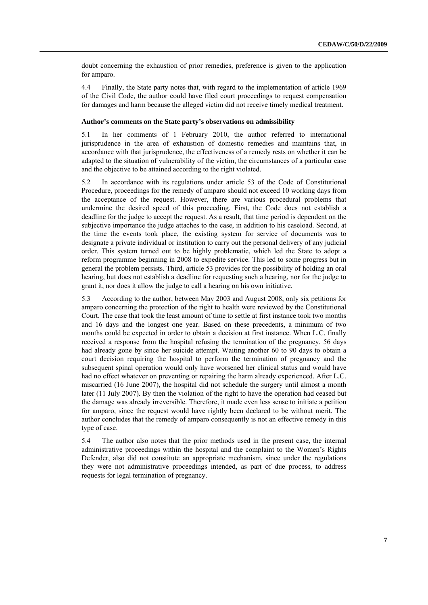doubt concerning the exhaustion of prior remedies, preference is given to the application for amparo.

4.4 Finally, the State party notes that, with regard to the implementation of article 1969 of the Civil Code, the author could have filed court proceedings to request compensation for damages and harm because the alleged victim did not receive timely medical treatment.

### **Author's comments on the State party's observations on admissibility**

5.1 In her comments of 1 February 2010, the author referred to international jurisprudence in the area of exhaustion of domestic remedies and maintains that, in accordance with that jurisprudence, the effectiveness of a remedy rests on whether it can be adapted to the situation of vulnerability of the victim, the circumstances of a particular case and the objective to be attained according to the right violated.

5.2 In accordance with its regulations under article 53 of the Code of Constitutional Procedure, proceedings for the remedy of amparo should not exceed 10 working days from the acceptance of the request. However, there are various procedural problems that undermine the desired speed of this proceeding. First, the Code does not establish a deadline for the judge to accept the request. As a result, that time period is dependent on the subjective importance the judge attaches to the case, in addition to his caseload. Second, at the time the events took place, the existing system for service of documents was to designate a private individual or institution to carry out the personal delivery of any judicial order. This system turned out to be highly problematic, which led the State to adopt a reform programme beginning in 2008 to expedite service. This led to some progress but in general the problem persists. Third, article 53 provides for the possibility of holding an oral hearing, but does not establish a deadline for requesting such a hearing, nor for the judge to grant it, nor does it allow the judge to call a hearing on his own initiative.

5.3 According to the author, between May 2003 and August 2008, only six petitions for amparo concerning the protection of the right to health were reviewed by the Constitutional Court. The case that took the least amount of time to settle at first instance took two months and 16 days and the longest one year. Based on these precedents, a minimum of two months could be expected in order to obtain a decision at first instance. When L.C. finally received a response from the hospital refusing the termination of the pregnancy, 56 days had already gone by since her suicide attempt. Waiting another 60 to 90 days to obtain a court decision requiring the hospital to perform the termination of pregnancy and the subsequent spinal operation would only have worsened her clinical status and would have had no effect whatever on preventing or repairing the harm already experienced. After L.C. miscarried (16 June 2007), the hospital did not schedule the surgery until almost a month later (11 July 2007). By then the violation of the right to have the operation had ceased but the damage was already irreversible. Therefore, it made even less sense to initiate a petition for amparo, since the request would have rightly been declared to be without merit. The author concludes that the remedy of amparo consequently is not an effective remedy in this type of case.

5.4 The author also notes that the prior methods used in the present case, the internal administrative proceedings within the hospital and the complaint to the Women's Rights Defender, also did not constitute an appropriate mechanism, since under the regulations they were not administrative proceedings intended, as part of due process, to address requests for legal termination of pregnancy.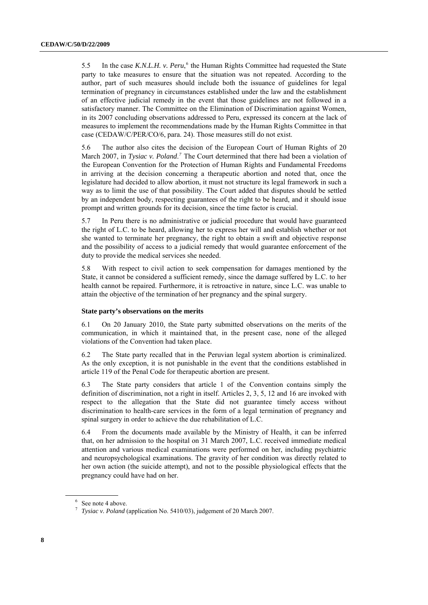<span id="page-7-0"></span>5.5 In the case *K.N.L.H. v. Peru*,<sup>[6](#page-7-0)</sup> the Human Rights Committee had requested the State party to take measures to ensure that the situation was not repeated. According to the author, part of such measures should include both the issuance of guidelines for legal termination of pregnancy in circumstances established under the law and the establishment of an effective judicial remedy in the event that those guidelines are not followed in a satisfactory manner. The Committee on the Elimination of Discrimination against Women, in its 2007 concluding observations addressed to Peru, expressed its concern at the lack of measures to implement the recommendations made by the Human Rights Committee in that case (CEDAW/C/PER/CO/6, para. 24). Those measures still do not exist.

5.6 The author also cites the decision of the European Court of Human Rights of 20 March 200[7](#page-7-0), in *Tysiac v. Poland.*<sup>7</sup> The Court determined that there had been a violation of the European Convention for the Protection of Human Rights and Fundamental Freedoms in arriving at the decision concerning a therapeutic abortion and noted that, once the legislature had decided to allow abortion, it must not structure its legal framework in such a way as to limit the use of that possibility. The Court added that disputes should be settled by an independent body, respecting guarantees of the right to be heard, and it should issue prompt and written grounds for its decision, since the time factor is crucial.

5.7 In Peru there is no administrative or judicial procedure that would have guaranteed the right of L.C. to be heard, allowing her to express her will and establish whether or not she wanted to terminate her pregnancy, the right to obtain a swift and objective response and the possibility of access to a judicial remedy that would guarantee enforcement of the duty to provide the medical services she needed.

5.8 With respect to civil action to seek compensation for damages mentioned by the State, it cannot be considered a sufficient remedy, since the damage suffered by L.C. to her health cannot be repaired. Furthermore, it is retroactive in nature, since L.C. was unable to attain the objective of the termination of her pregnancy and the spinal surgery.

# **State party's observations on the merits**

6.1 On 20 January 2010, the State party submitted observations on the merits of the communication, in which it maintained that, in the present case, none of the alleged violations of the Convention had taken place.

6.2 The State party recalled that in the Peruvian legal system abortion is criminalized. As the only exception, it is not punishable in the event that the conditions established in article 119 of the Penal Code for therapeutic abortion are present.

6.3 The State party considers that article 1 of the Convention contains simply the definition of discrimination, not a right in itself. Articles 2, 3, 5, 12 and 16 are invoked with respect to the allegation that the State did not guarantee timely access without discrimination to health-care services in the form of a legal termination of pregnancy and spinal surgery in order to achieve the due rehabilitation of L.C.

6.4 From the documents made available by the Ministry of Health, it can be inferred that, on her admission to the hospital on 31 March 2007, L.C. received immediate medical attention and various medical examinations were performed on her, including psychiatric and neuropsychological examinations. The gravity of her condition was directly related to her own action (the suicide attempt), and not to the possible physiological effects that the pregnancy could have had on her.

<sup>6</sup> See note 4 above.

<sup>7</sup> *Tysiac v. Poland* (application No. 5410/03), judgement of 20 March 2007.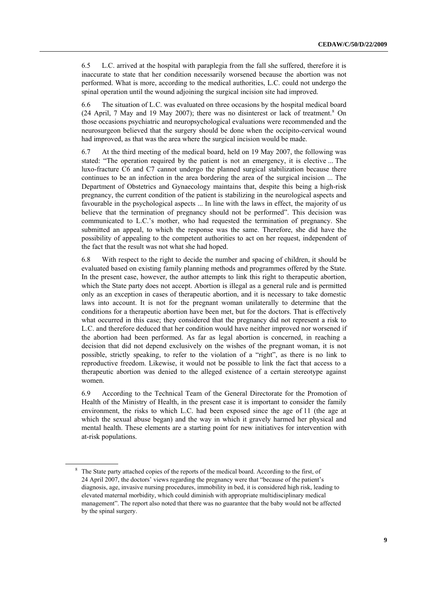<span id="page-8-0"></span>6.5 L.C. arrived at the hospital with paraplegia from the fall she suffered, therefore it is inaccurate to state that her condition necessarily worsened because the abortion was not performed. What is more, according to the medical authorities, L.C. could not undergo the spinal operation until the wound adjoining the surgical incision site had improved.

6.6 The situation of L.C. was evaluated on three occasions by the hospital medical board (24 April, 7 May and 19 May 2007); there was no disinterest or lack of treatment.<sup>[8](#page-8-0)</sup> On those occasions psychiatric and neuropsychological evaluations were recommended and the neurosurgeon believed that the surgery should be done when the occipito-cervical wound had improved, as that was the area where the surgical incision would be made.

6.7 At the third meeting of the medical board, held on 19 May 2007, the following was stated: "The operation required by the patient is not an emergency, it is elective ... The luxo-fracture C6 and C7 cannot undergo the planned surgical stabilization because there continues to be an infection in the area bordering the area of the surgical incision ... The Department of Obstetrics and Gynaecology maintains that, despite this being a high-risk pregnancy, the current condition of the patient is stabilizing in the neurological aspects and favourable in the psychological aspects ... In line with the laws in effect, the majority of us believe that the termination of pregnancy should not be performed". This decision was communicated to L.C.'s mother, who had requested the termination of pregnancy. She submitted an appeal, to which the response was the same. Therefore, she did have the possibility of appealing to the competent authorities to act on her request, independent of the fact that the result was not what she had hoped.

6.8 With respect to the right to decide the number and spacing of children, it should be evaluated based on existing family planning methods and programmes offered by the State. In the present case, however, the author attempts to link this right to therapeutic abortion, which the State party does not accept. Abortion is illegal as a general rule and is permitted only as an exception in cases of therapeutic abortion, and it is necessary to take domestic laws into account. It is not for the pregnant woman unilaterally to determine that the conditions for a therapeutic abortion have been met, but for the doctors. That is effectively what occurred in this case; they considered that the pregnancy did not represent a risk to L.C. and therefore deduced that her condition would have neither improved nor worsened if the abortion had been performed. As far as legal abortion is concerned, in reaching a decision that did not depend exclusively on the wishes of the pregnant woman, it is not possible, strictly speaking, to refer to the violation of a "right", as there is no link to reproductive freedom. Likewise, it would not be possible to link the fact that access to a therapeutic abortion was denied to the alleged existence of a certain stereotype against women.

6.9 According to the Technical Team of the General Directorate for the Promotion of Health of the Ministry of Health, in the present case it is important to consider the family environment, the risks to which L.C. had been exposed since the age of 11 (the age at which the sexual abuse began) and the way in which it gravely harmed her physical and mental health. These elements are a starting point for new initiatives for intervention with at-risk populations.

<sup>&</sup>lt;sup>8</sup> The State party attached copies of the reports of the medical board. According to the first, of 24 April 2007, the doctors' views regarding the pregnancy were that "because of the patient's diagnosis, age, invasive nursing procedures, immobility in bed, it is considered high risk, leading to elevated maternal morbidity, which could diminish with appropriate multidisciplinary medical management". The report also noted that there was no guarantee that the baby would not be affected by the spinal surgery.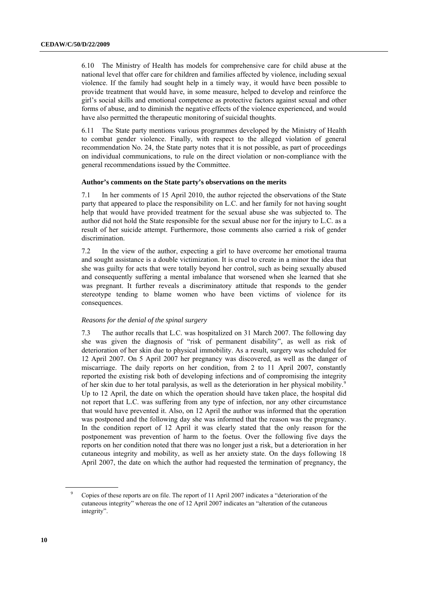<span id="page-9-0"></span>6.10 The Ministry of Health has models for comprehensive care for child abuse at the national level that offer care for children and families affected by violence, including sexual violence. If the family had sought help in a timely way, it would have been possible to provide treatment that would have, in some measure, helped to develop and reinforce the girl's social skills and emotional competence as protective factors against sexual and other forms of abuse, and to diminish the negative effects of the violence experienced, and would have also permitted the therapeutic monitoring of suicidal thoughts.

6.11 The State party mentions various programmes developed by the Ministry of Health to combat gender violence. Finally, with respect to the alleged violation of general recommendation No. 24, the State party notes that it is not possible, as part of proceedings on individual communications, to rule on the direct violation or non-compliance with the general recommendations issued by the Committee.

#### **Author's comments on the State party's observations on the merits**

7.1 In her comments of 15 April 2010, the author rejected the observations of the State party that appeared to place the responsibility on L.C. and her family for not having sought help that would have provided treatment for the sexual abuse she was subjected to. The author did not hold the State responsible for the sexual abuse nor for the injury to L.C. as a result of her suicide attempt. Furthermore, those comments also carried a risk of gender discrimination.

7.2 In the view of the author, expecting a girl to have overcome her emotional trauma and sought assistance is a double victimization. It is cruel to create in a minor the idea that she was guilty for acts that were totally beyond her control, such as being sexually abused and consequently suffering a mental imbalance that worsened when she learned that she was pregnant. It further reveals a discriminatory attitude that responds to the gender stereotype tending to blame women who have been victims of violence for its consequences.

# *Reasons for the denial of the spinal surgery*

7.3 The author recalls that L.C. was hospitalized on 31 March 2007. The following day she was given the diagnosis of "risk of permanent disability", as well as risk of deterioration of her skin due to physical immobility. As a result, surgery was scheduled for 12 April 2007. On 5 April 2007 her pregnancy was discovered, as well as the danger of miscarriage. The daily reports on her condition, from 2 to 11 April 2007, constantly reported the existing risk both of developing infections and of compromising the integrity of her skin due to her total paralysis, as well as the deterioration in her physical mobility[.9](#page-9-0) Up to 12 April, the date on which the operation should have taken place, the hospital did not report that L.C. was suffering from any type of infection, nor any other circumstance that would have prevented it. Also, on 12 April the author was informed that the operation was postponed and the following day she was informed that the reason was the pregnancy. In the condition report of 12 April it was clearly stated that the only reason for the postponement was prevention of harm to the foetus. Over the following five days the reports on her condition noted that there was no longer just a risk, but a deterioration in her cutaneous integrity and mobility, as well as her anxiety state. On the days following 18 April 2007, the date on which the author had requested the termination of pregnancy, the

<sup>9</sup> Copies of these reports are on file. The report of 11 April 2007 indicates a "deterioration of the cutaneous integrity" whereas the one of 12 April 2007 indicates an "alteration of the cutaneous integrity".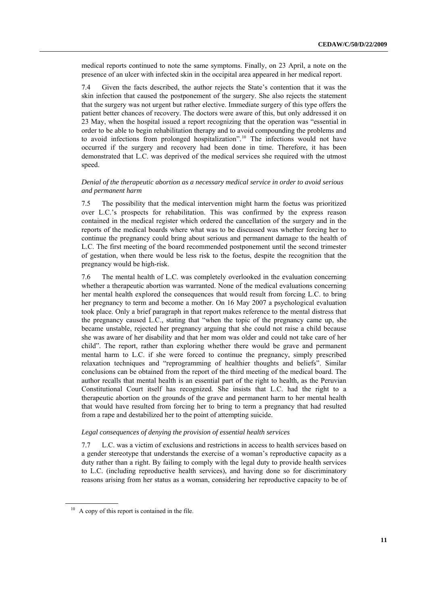<span id="page-10-0"></span>medical reports continued to note the same symptoms. Finally, on 23 April, a note on the presence of an ulcer with infected skin in the occipital area appeared in her medical report.

7.4 Given the facts described, the author rejects the State's contention that it was the skin infection that caused the postponement of the surgery. She also rejects the statement that the surgery was not urgent but rather elective. Immediate surgery of this type offers the patient better chances of recovery. The doctors were aware of this, but only addressed it on 23 May, when the hospital issued a report recognizing that the operation was "essential in order to be able to begin rehabilitation therapy and to avoid compounding the problems and to avoid infections from prolonged hospitalization".<sup>[10](#page-10-0)</sup> The infections would not have occurred if the surgery and recovery had been done in time. Therefore, it has been demonstrated that L.C. was deprived of the medical services she required with the utmost speed.

# *Denial of the therapeutic abortion as a necessary medical service in order to avoid serious and permanent harm*

7.5 The possibility that the medical intervention might harm the foetus was prioritized over L.C.'s prospects for rehabilitation. This was confirmed by the express reason contained in the medical register which ordered the cancellation of the surgery and in the reports of the medical boards where what was to be discussed was whether forcing her to continue the pregnancy could bring about serious and permanent damage to the health of L.C. The first meeting of the board recommended postponement until the second trimester of gestation, when there would be less risk to the foetus, despite the recognition that the pregnancy would be high-risk.

7.6 The mental health of L.C. was completely overlooked in the evaluation concerning whether a therapeutic abortion was warranted. None of the medical evaluations concerning her mental health explored the consequences that would result from forcing L.C. to bring her pregnancy to term and become a mother. On 16 May 2007 a psychological evaluation took place. Only a brief paragraph in that report makes reference to the mental distress that the pregnancy caused L.C., stating that "when the topic of the pregnancy came up, she became unstable, rejected her pregnancy arguing that she could not raise a child because she was aware of her disability and that her mom was older and could not take care of her child". The report, rather than exploring whether there would be grave and permanent mental harm to L.C. if she were forced to continue the pregnancy, simply prescribed relaxation techniques and "reprogramming of healthier thoughts and beliefs". Similar conclusions can be obtained from the report of the third meeting of the medical board. The author recalls that mental health is an essential part of the right to health, as the Peruvian Constitutional Court itself has recognized. She insists that L.C. had the right to a therapeutic abortion on the grounds of the grave and permanent harm to her mental health that would have resulted from forcing her to bring to term a pregnancy that had resulted from a rape and destabilized her to the point of attempting suicide.

### *Legal consequences of denying the provision of essential health services*

7.7 L.C. was a victim of exclusions and restrictions in access to health services based on a gender stereotype that understands the exercise of a woman's reproductive capacity as a duty rather than a right. By failing to comply with the legal duty to provide health services to L.C. (including reproductive health services), and having done so for discriminatory reasons arising from her status as a woman, considering her reproductive capacity to be of

 $10$  A copy of this report is contained in the file.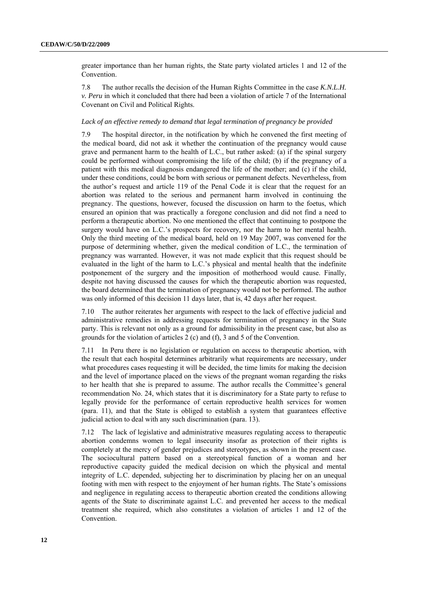greater importance than her human rights, the State party violated articles 1 and 12 of the Convention.

7.8 The author recalls the decision of the Human Rights Committee in the case *K.N.L.H. v. Peru* in which it concluded that there had been a violation of article 7 of the International Covenant on Civil and Political Rights.

### *Lack of an effective remedy to demand that legal termination of pregnancy be provided*

7.9 The hospital director, in the notification by which he convened the first meeting of the medical board, did not ask it whether the continuation of the pregnancy would cause grave and permanent harm to the health of L.C., but rather asked: (a) if the spinal surgery could be performed without compromising the life of the child; (b) if the pregnancy of a patient with this medical diagnosis endangered the life of the mother; and (c) if the child, under these conditions, could be born with serious or permanent defects. Nevertheless, from the author's request and article 119 of the Penal Code it is clear that the request for an abortion was related to the serious and permanent harm involved in continuing the pregnancy. The questions, however, focused the discussion on harm to the foetus, which ensured an opinion that was practically a foregone conclusion and did not find a need to perform a therapeutic abortion. No one mentioned the effect that continuing to postpone the surgery would have on L.C.'s prospects for recovery, nor the harm to her mental health. Only the third meeting of the medical board, held on 19 May 2007, was convened for the purpose of determining whether, given the medical condition of L.C., the termination of pregnancy was warranted. However, it was not made explicit that this request should be evaluated in the light of the harm to L.C.'s physical and mental health that the indefinite postponement of the surgery and the imposition of motherhood would cause. Finally, despite not having discussed the causes for which the therapeutic abortion was requested, the board determined that the termination of pregnancy would not be performed. The author was only informed of this decision 11 days later, that is, 42 days after her request.

7.10 The author reiterates her arguments with respect to the lack of effective judicial and administrative remedies in addressing requests for termination of pregnancy in the State party. This is relevant not only as a ground for admissibility in the present case, but also as grounds for the violation of articles 2 (c) and (f), 3 and 5 of the Convention.

7.11 In Peru there is no legislation or regulation on access to therapeutic abortion, with the result that each hospital determines arbitrarily what requirements are necessary, under what procedures cases requesting it will be decided, the time limits for making the decision and the level of importance placed on the views of the pregnant woman regarding the risks to her health that she is prepared to assume. The author recalls the Committee's general recommendation No. 24, which states that it is discriminatory for a State party to refuse to legally provide for the performance of certain reproductive health services for women (para. 11), and that the State is obliged to establish a system that guarantees effective judicial action to deal with any such discrimination (para. 13).

7.12 The lack of legislative and administrative measures regulating access to therapeutic abortion condemns women to legal insecurity insofar as protection of their rights is completely at the mercy of gender prejudices and stereotypes, as shown in the present case. The sociocultural pattern based on a stereotypical function of a woman and her reproductive capacity guided the medical decision on which the physical and mental integrity of L.C. depended, subjecting her to discrimination by placing her on an unequal footing with men with respect to the enjoyment of her human rights. The State's omissions and negligence in regulating access to therapeutic abortion created the conditions allowing agents of the State to discriminate against L.C. and prevented her access to the medical treatment she required, which also constitutes a violation of articles 1 and 12 of the Convention.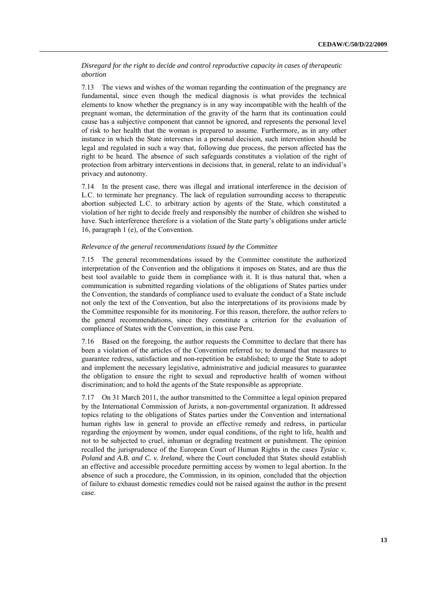# *Disregard for the right to decide and control reproductive capacity in cases of therapeutic abortion*

7.13 The views and wishes of the woman regarding the continuation of the pregnancy are fundamental, since even though the medical diagnosis is what provides the technical elements to know whether the pregnancy is in any way incompatible with the health of the pregnant woman, the determination of the gravity of the harm that its continuation could cause has a subjective component that cannot be ignored, and represents the personal level of risk to her health that the woman is prepared to assume. Furthermore, as in any other instance in which the State intervenes in a personal decision, such intervention should be legal and regulated in such a way that, following due process, the person affected has the right to be heard. The absence of such safeguards constitutes a violation of the right of protection from arbitrary interventions in decisions that, in general, relate to an individual's privacy and autonomy.

7.14 In the present case, there was illegal and irrational interference in the decision of L.C. to terminate her pregnancy. The lack of regulation surrounding access to therapeutic abortion subjected L.C. to arbitrary action by agents of the State, which constituted a violation of her right to decide freely and responsibly the number of children she wished to have. Such interference therefore is a violation of the State party's obligations under article 16, paragraph 1 (e), of the Convention.

# *Relevance of the general recommendations issued by the Committee*

7.15 The general recommendations issued by the Committee constitute the authorized interpretation of the Convention and the obligations it imposes on States, and are thus the best tool available to guide them in compliance with it. It is thus natural that, when a communication is submitted regarding violations of the obligations of States parties under the Convention, the standards of compliance used to evaluate the conduct of a State include not only the text of the Convention, but also the interpretations of its provisions made by the Committee responsible for its monitoring. For this reason, therefore, the author refers to the general recommendations, since they constitute a criterion for the evaluation of compliance of States with the Convention, in this case Peru.

7.16 Based on the foregoing, the author requests the Committee to declare that there has been a violation of the articles of the Convention referred to; to demand that measures to guarantee redress, satisfaction and non-repetition be established; to urge the State to adopt and implement the necessary legislative, administrative and judicial measures to guarantee the obligation to ensure the right to sexual and reproductive health of women without discrimination; and to hold the agents of the State responsible as appropriate.

7.17 On 31 March 2011, the author transmitted to the Committee a legal opinion prepared by the International Commission of Jurists, a non-governmental organization. It addressed topics relating to the obligations of States parties under the Convention and international human rights law in general to provide an effective remedy and redress, in particular regarding the enjoyment by women, under equal conditions, of the right to life, health and not to be subjected to cruel, inhuman or degrading treatment or punishment. The opinion recalled the jurisprudence of the European Court of Human Rights in the cases *Tysiac v. Poland* and *A.B. and C. v. Ireland*, where the Court concluded that States should establish an effective and accessible procedure permitting access by women to legal abortion. In the absence of such a procedure, the Commission, in its opinion, concluded that the objection of failure to exhaust domestic remedies could not be raised against the author in the present case.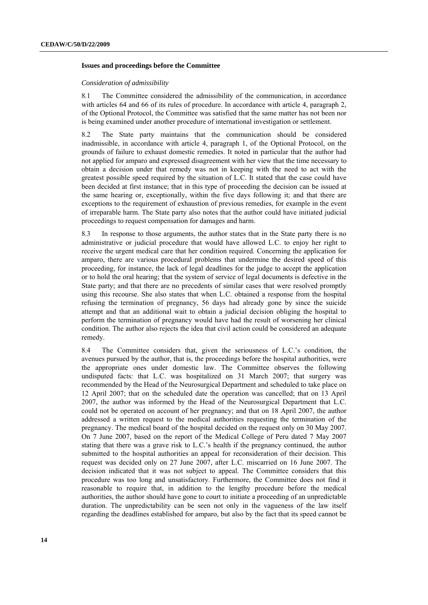#### **Issues and proceedings before the Committee**

### *Consideration of admissibility*

8.1 The Committee considered the admissibility of the communication, in accordance with articles 64 and 66 of its rules of procedure. In accordance with article 4, paragraph 2, of the Optional Protocol, the Committee was satisfied that the same matter has not been nor is being examined under another procedure of international investigation or settlement.

8.2 The State party maintains that the communication should be considered inadmissible, in accordance with article 4, paragraph 1, of the Optional Protocol, on the grounds of failure to exhaust domestic remedies. It noted in particular that the author had not applied for amparo and expressed disagreement with her view that the time necessary to obtain a decision under that remedy was not in keeping with the need to act with the greatest possible speed required by the situation of L.C. It stated that the case could have been decided at first instance; that in this type of proceeding the decision can be issued at the same hearing or, exceptionally, within the five days following it; and that there are exceptions to the requirement of exhaustion of previous remedies, for example in the event of irreparable harm. The State party also notes that the author could have initiated judicial proceedings to request compensation for damages and harm.

8.3 In response to those arguments, the author states that in the State party there is no administrative or judicial procedure that would have allowed L.C. to enjoy her right to receive the urgent medical care that her condition required. Concerning the application for amparo, there are various procedural problems that undermine the desired speed of this proceeding, for instance, the lack of legal deadlines for the judge to accept the application or to hold the oral hearing; that the system of service of legal documents is defective in the State party; and that there are no precedents of similar cases that were resolved promptly using this recourse. She also states that when L.C. obtained a response from the hospital refusing the termination of pregnancy, 56 days had already gone by since the suicide attempt and that an additional wait to obtain a judicial decision obliging the hospital to perform the termination of pregnancy would have had the result of worsening her clinical condition. The author also rejects the idea that civil action could be considered an adequate remedy.

8.4 The Committee considers that, given the seriousness of L.C.'s condition, the avenues pursued by the author, that is, the proceedings before the hospital authorities, were the appropriate ones under domestic law. The Committee observes the following undisputed facts: that L.C. was hospitalized on 31 March 2007; that surgery was recommended by the Head of the Neurosurgical Department and scheduled to take place on 12 April 2007; that on the scheduled date the operation was cancelled; that on 13 April 2007, the author was informed by the Head of the Neurosurgical Department that L.C. could not be operated on account of her pregnancy; and that on 18 April 2007, the author addressed a written request to the medical authorities requesting the termination of the pregnancy. The medical board of the hospital decided on the request only on 30 May 2007. On 7 June 2007, based on the report of the Medical College of Peru dated 7 May 2007 stating that there was a grave risk to L.C.'s health if the pregnancy continued, the author submitted to the hospital authorities an appeal for reconsideration of their decision. This request was decided only on 27 June 2007, after L.C. miscarried on 16 June 2007. The decision indicated that it was not subject to appeal. The Committee considers that this procedure was too long and unsatisfactory. Furthermore, the Committee does not find it reasonable to require that, in addition to the lengthy procedure before the medical authorities, the author should have gone to court to initiate a proceeding of an unpredictable duration. The unpredictability can be seen not only in the vagueness of the law itself regarding the deadlines established for amparo, but also by the fact that its speed cannot be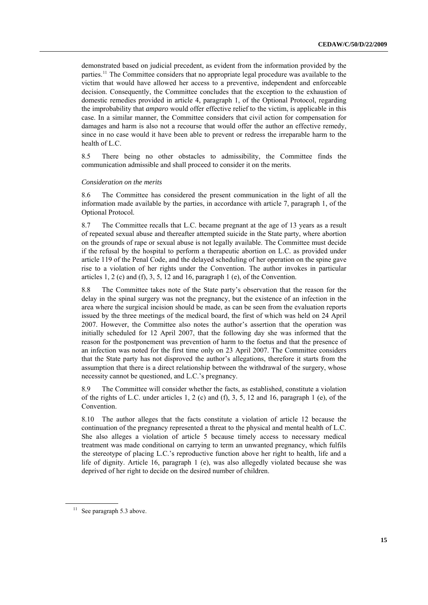<span id="page-14-0"></span>demonstrated based on judicial precedent, as evident from the information provided by the parties.<sup>[11](#page-14-0)</sup> The Committee considers that no appropriate legal procedure was available to the victim that would have allowed her access to a preventive, independent and enforceable decision. Consequently, the Committee concludes that the exception to the exhaustion of domestic remedies provided in article 4, paragraph 1, of the Optional Protocol, regarding the improbability that *amparo* would offer effective relief to the victim, is applicable in this case. In a similar manner, the Committee considers that civil action for compensation for damages and harm is also not a recourse that would offer the author an effective remedy, since in no case would it have been able to prevent or redress the irreparable harm to the health of L.C.

8.5 There being no other obstacles to admissibility, the Committee finds the communication admissible and shall proceed to consider it on the merits.

#### *Consideration on the merits*

8.6 The Committee has considered the present communication in the light of all the information made available by the parties, in accordance with article 7, paragraph 1, of the Optional Protocol.

8.7 The Committee recalls that L.C. became pregnant at the age of 13 years as a result of repeated sexual abuse and thereafter attempted suicide in the State party, where abortion on the grounds of rape or sexual abuse is not legally available. The Committee must decide if the refusal by the hospital to perform a therapeutic abortion on L.C. as provided under article 119 of the Penal Code, and the delayed scheduling of her operation on the spine gave rise to a violation of her rights under the Convention. The author invokes in particular articles 1, 2 (c) and (f), 3, 5, 12 and 16, paragraph 1 (e), of the Convention.

8.8 The Committee takes note of the State party's observation that the reason for the delay in the spinal surgery was not the pregnancy, but the existence of an infection in the area where the surgical incision should be made, as can be seen from the evaluation reports issued by the three meetings of the medical board, the first of which was held on 24 April 2007. However, the Committee also notes the author's assertion that the operation was initially scheduled for 12 April 2007, that the following day she was informed that the reason for the postponement was prevention of harm to the foetus and that the presence of an infection was noted for the first time only on 23 April 2007. The Committee considers that the State party has not disproved the author's allegations, therefore it starts from the assumption that there is a direct relationship between the withdrawal of the surgery, whose necessity cannot be questioned, and L.C.'s pregnancy.

8.9 The Committee will consider whether the facts, as established, constitute a violation of the rights of L.C. under articles 1, 2 (c) and (f), 3, 5, 12 and 16, paragraph 1 (e), of the Convention.

8.10 The author alleges that the facts constitute a violation of article 12 because the continuation of the pregnancy represented a threat to the physical and mental health of L.C. She also alleges a violation of article 5 because timely access to necessary medical treatment was made conditional on carrying to term an unwanted pregnancy, which fulfils the stereotype of placing L.C.'s reproductive function above her right to health, life and a life of dignity. Article 16, paragraph 1 (e), was also allegedly violated because she was deprived of her right to decide on the desired number of children.

<sup>&</sup>lt;sup>11</sup> See paragraph 5.3 above.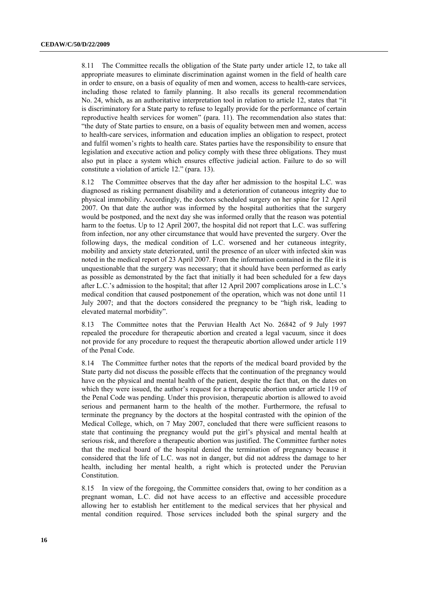8.11 The Committee recalls the obligation of the State party under article 12, to take all appropriate measures to eliminate discrimination against women in the field of health care in order to ensure, on a basis of equality of men and women, access to health-care services, including those related to family planning. It also recalls its general recommendation No. 24, which, as an authoritative interpretation tool in relation to article 12, states that "it is discriminatory for a State party to refuse to legally provide for the performance of certain reproductive health services for women" (para. 11). The recommendation also states that: "the duty of State parties to ensure, on a basis of equality between men and women, access to health-care services, information and education implies an obligation to respect, protect and fulfil women's rights to health care. States parties have the responsibility to ensure that legislation and executive action and policy comply with these three obligations. They must also put in place a system which ensures effective judicial action. Failure to do so will constitute a violation of article 12." (para. 13).

8.12 The Committee observes that the day after her admission to the hospital L.C. was diagnosed as risking permanent disability and a deterioration of cutaneous integrity due to physical immobility. Accordingly, the doctors scheduled surgery on her spine for 12 April 2007. On that date the author was informed by the hospital authorities that the surgery would be postponed, and the next day she was informed orally that the reason was potential harm to the foetus. Up to 12 April 2007, the hospital did not report that L.C. was suffering from infection, nor any other circumstance that would have prevented the surgery. Over the following days, the medical condition of L.C. worsened and her cutaneous integrity, mobility and anxiety state deteriorated, until the presence of an ulcer with infected skin was noted in the medical report of 23 April 2007. From the information contained in the file it is unquestionable that the surgery was necessary; that it should have been performed as early as possible as demonstrated by the fact that initially it had been scheduled for a few days after L.C.'s admission to the hospital; that after 12 April 2007 complications arose in L.C.'s medical condition that caused postponement of the operation, which was not done until 11 July 2007; and that the doctors considered the pregnancy to be "high risk, leading to elevated maternal morbidity".

8.13 The Committee notes that the Peruvian Health Act No. 26842 of 9 July 1997 repealed the procedure for therapeutic abortion and created a legal vacuum, since it does not provide for any procedure to request the therapeutic abortion allowed under article 119 of the Penal Code.

8.14 The Committee further notes that the reports of the medical board provided by the State party did not discuss the possible effects that the continuation of the pregnancy would have on the physical and mental health of the patient, despite the fact that, on the dates on which they were issued, the author's request for a therapeutic abortion under article 119 of the Penal Code was pending. Under this provision, therapeutic abortion is allowed to avoid serious and permanent harm to the health of the mother. Furthermore, the refusal to terminate the pregnancy by the doctors at the hospital contrasted with the opinion of the Medical College, which, on 7 May 2007, concluded that there were sufficient reasons to state that continuing the pregnancy would put the girl's physical and mental health at serious risk, and therefore a therapeutic abortion was justified. The Committee further notes that the medical board of the hospital denied the termination of pregnancy because it considered that the life of L.C. was not in danger, but did not address the damage to her health, including her mental health, a right which is protected under the Peruvian Constitution.

8.15 In view of the foregoing, the Committee considers that, owing to her condition as a pregnant woman, L.C. did not have access to an effective and accessible procedure allowing her to establish her entitlement to the medical services that her physical and mental condition required. Those services included both the spinal surgery and the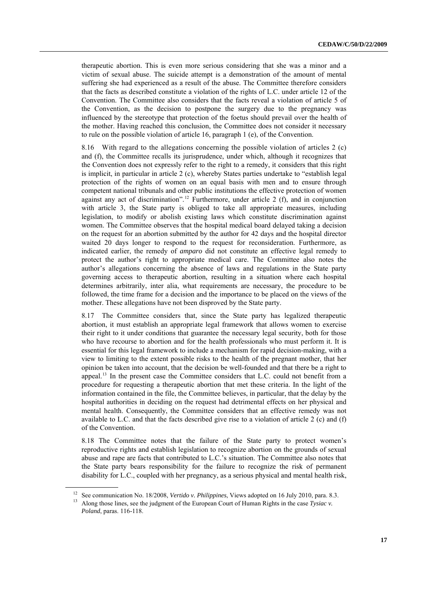<span id="page-16-0"></span>therapeutic abortion. This is even more serious considering that she was a minor and a victim of sexual abuse. The suicide attempt is a demonstration of the amount of mental suffering she had experienced as a result of the abuse. The Committee therefore considers that the facts as described constitute a violation of the rights of L.C. under article 12 of the Convention. The Committee also considers that the facts reveal a violation of article 5 of the Convention, as the decision to postpone the surgery due to the pregnancy was influenced by the stereotype that protection of the foetus should prevail over the health of the mother. Having reached this conclusion, the Committee does not consider it necessary to rule on the possible violation of article 16, paragraph 1 (e), of the Convention.

8.16 With regard to the allegations concerning the possible violation of articles 2 (c) and (f), the Committee recalls its jurisprudence, under which, although it recognizes that the Convention does not expressly refer to the right to a remedy, it considers that this right is implicit, in particular in article 2 (c), whereby States parties undertake to "establish legal protection of the rights of women on an equal basis with men and to ensure through competent national tribunals and other public institutions the effective protection of women against any act of discrimination".<sup>[12](#page-16-0)</sup> Furthermore, under article 2 (f), and in conjunction with article 3, the State party is obliged to take all appropriate measures, including legislation, to modify or abolish existing laws which constitute discrimination against women. The Committee observes that the hospital medical board delayed taking a decision on the request for an abortion submitted by the author for 42 days and the hospital director waited 20 days longer to respond to the request for reconsideration. Furthermore, as indicated earlier, the remedy of *amparo* did not constitute an effective legal remedy to protect the author's right to appropriate medical care. The Committee also notes the author's allegations concerning the absence of laws and regulations in the State party governing access to therapeutic abortion, resulting in a situation where each hospital determines arbitrarily, inter alia, what requirements are necessary, the procedure to be followed, the time frame for a decision and the importance to be placed on the views of the mother. These allegations have not been disproved by the State party.

8.17 The Committee considers that, since the State party has legalized therapeutic abortion, it must establish an appropriate legal framework that allows women to exercise their right to it under conditions that guarantee the necessary legal security, both for those who have recourse to abortion and for the health professionals who must perform it. It is essential for this legal framework to include a mechanism for rapid decision-making, with a view to limiting to the extent possible risks to the health of the pregnant mother, that her opinion be taken into account, that the decision be well-founded and that there be a right to appeal.<sup>13</sup> In the present case the Committee considers that L.C. could not benefit from a procedure for requesting a therapeutic abortion that met these criteria. In the light of the information contained in the file, the Committee believes, in particular, that the delay by the hospital authorities in deciding on the request had detrimental effects on her physical and mental health. Consequently, the Committee considers that an effective remedy was not available to L.C. and that the facts described give rise to a violation of article 2 (c) and (f) of the Convention.

8.18 The Committee notes that the failure of the State party to protect women's reproductive rights and establish legislation to recognize abortion on the grounds of sexual abuse and rape are facts that contributed to L.C.'s situation. The Committee also notes that the State party bears responsibility for the failure to recognize the risk of permanent disability for L.C., coupled with her pregnancy, as a serious physical and mental health risk,

<sup>&</sup>lt;sup>12</sup> See communication No. 18/2008, *Vertido v. Philippines*, Views adopted on 16 July 2010, para. 8.3. <br><sup>13</sup> Along those lines, see the judgment of the European Court of Human Rights in the case *Tysiac v*. *Poland*, paras. 116-118.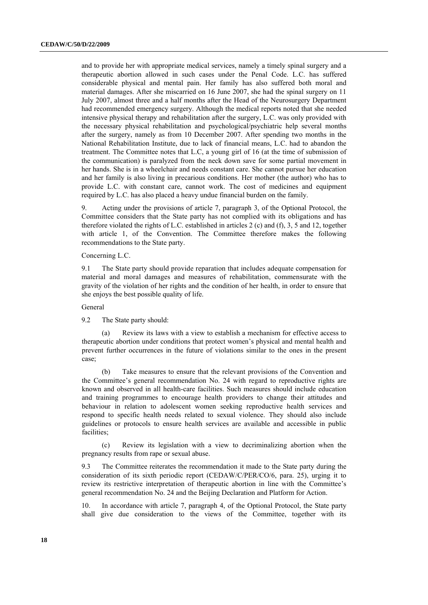and to provide her with appropriate medical services, namely a timely spinal surgery and a therapeutic abortion allowed in such cases under the Penal Code. L.C. has suffered considerable physical and mental pain. Her family has also suffered both moral and material damages. After she miscarried on 16 June 2007, she had the spinal surgery on 11 July 2007, almost three and a half months after the Head of the Neurosurgery Department had recommended emergency surgery. Although the medical reports noted that she needed intensive physical therapy and rehabilitation after the surgery, L.C. was only provided with the necessary physical rehabilitation and psychological/psychiatric help several months after the surgery, namely as from 10 December 2007. After spending two months in the National Rehabilitation Institute, due to lack of financial means, L.C. had to abandon the treatment. The Committee notes that L.C, a young girl of 16 (at the time of submission of the communication) is paralyzed from the neck down save for some partial movement in her hands. She is in a wheelchair and needs constant care. She cannot pursue her education and her family is also living in precarious conditions. Her mother (the author) who has to provide L.C. with constant care, cannot work. The cost of medicines and equipment required by L.C. has also placed a heavy undue financial burden on the family.

9. Acting under the provisions of article 7, paragraph 3, of the Optional Protocol, the Committee considers that the State party has not complied with its obligations and has therefore violated the rights of L.C. established in articles 2 (c) and (f), 3, 5 and 12, together with article 1, of the Convention. The Committee therefore makes the following recommendations to the State party.

#### Concerning L.C.

9.1 The State party should provide reparation that includes adequate compensation for material and moral damages and measures of rehabilitation, commensurate with the gravity of the violation of her rights and the condition of her health, in order to ensure that she enjoys the best possible quality of life.

#### General

9.2 The State party should:

Review its laws with a view to establish a mechanism for effective access to therapeutic abortion under conditions that protect women's physical and mental health and prevent further occurrences in the future of violations similar to the ones in the present case;

 (b) Take measures to ensure that the relevant provisions of the Convention and the Committee's general recommendation No. 24 with regard to reproductive rights are known and observed in all health-care facilities. Such measures should include education and training programmes to encourage health providers to change their attitudes and behaviour in relation to adolescent women seeking reproductive health services and respond to specific health needs related to sexual violence. They should also include guidelines or protocols to ensure health services are available and accessible in public facilities;

 (c) Review its legislation with a view to decriminalizing abortion when the pregnancy results from rape or sexual abuse.

9.3 The Committee reiterates the recommendation it made to the State party during the consideration of its sixth periodic report (CEDAW/C/PER/CO/6, para. 25), urging it to review its restrictive interpretation of therapeutic abortion in line with the Committee's general recommendation No. 24 and the Beijing Declaration and Platform for Action.

10. In accordance with article 7, paragraph 4, of the Optional Protocol, the State party shall give due consideration to the views of the Committee, together with its